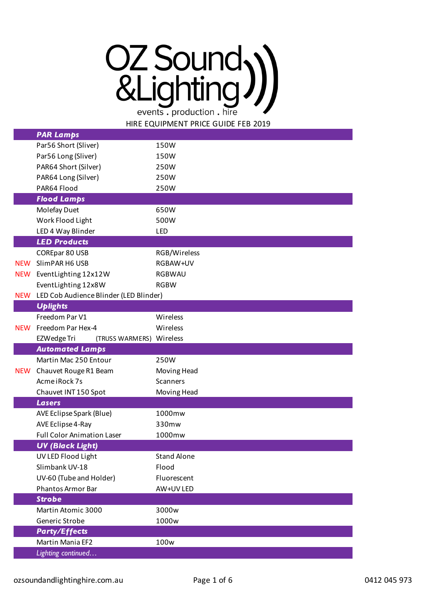## OZ Sound<sub>3</sub>) events . production . hire

HIRE EQUIPMENT PRICE GUIDE FEB 2019

|            | <b>PAR Lamps</b>                        |                    |
|------------|-----------------------------------------|--------------------|
|            | Par56 Short (Sliver)                    | 150W               |
|            | Par56 Long (Sliver)                     | 150W               |
|            | PAR64 Short (Silver)                    | 250W               |
|            | PAR64 Long (Silver)                     | 250W               |
|            | PAR64 Flood                             | 250W               |
|            | <b>Flood Lamps</b>                      |                    |
|            | Molefay Duet                            | 650W               |
|            | Work Flood Light                        | 500W               |
|            | LED 4 Way Blinder                       | LED                |
|            | <b>LED Products</b>                     |                    |
|            | COREpar 80 USB                          | RGB/Wireless       |
| <b>NEW</b> | SlimPAR H6 USB                          | RGBAW+UV           |
| <b>NEW</b> | EventLighting 12x12W                    | <b>RGBWAU</b>      |
|            | EventLighting 12x8W                     | <b>RGBW</b>        |
| <b>NEW</b> | LED Cob Audience Blinder (LED Blinder)  |                    |
|            | <b>Uplights</b>                         |                    |
|            | Freedom Par V1                          | Wireless           |
| <b>NEW</b> | Freedom Par Hex-4                       | Wireless           |
|            | EZWedge Tri<br>(TRUSS WARMERS) Wireless |                    |
|            | <b>Automated Lamps</b>                  |                    |
|            | Martin Mac 250 Entour                   | 250W               |
| <b>NEW</b> | Chauvet Rouge R1 Beam                   | Moving Head        |
|            | Acme iRock 7s                           | Scanners           |
|            | Chauvet INT 150 Spot                    | Moving Head        |
|            | <b>Lasers</b>                           |                    |
|            | AVE Eclipse Spark (Blue)                | 1000mw             |
|            | AVE Eclipse 4-Ray                       | 330mw              |
|            | <b>Full Color Animation Laser</b>       | 1000mw             |
|            | <b>UV (Black Light)</b>                 |                    |
|            | UV LED Flood Light                      | <b>Stand Alone</b> |
|            | Slimbank UV-18                          | Flood              |
|            | UV-60 (Tube and Holder)                 | Fluorescent        |
|            | <b>Phantos Armor Bar</b>                | AW+UV LED          |
|            | <b>Strobe</b>                           |                    |
|            | Martin Atomic 3000                      | 3000w              |
|            | Generic Strobe                          | 1000w              |
|            | <b>Party/Effects</b>                    |                    |
|            | Martin Mania EF2                        | 100w               |
|            | Lighting continued                      |                    |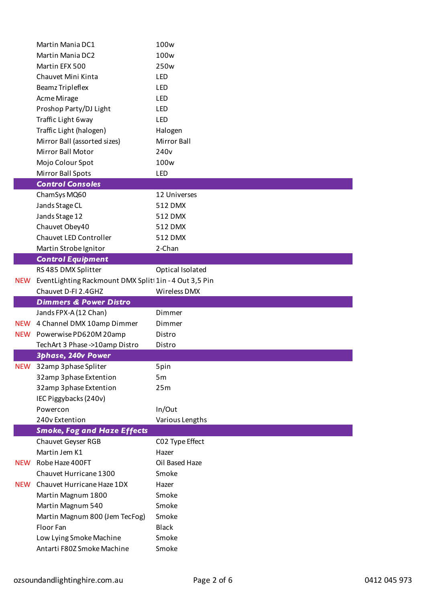|            | Martin Mania DC1                                      | 100 <sub>w</sub>   |
|------------|-------------------------------------------------------|--------------------|
|            | <b>Martin Mania DC2</b>                               | 100w               |
|            | Martin EFX 500                                        | 250 <sub>w</sub>   |
|            | Chauvet Mini Kinta                                    | LED                |
|            | <b>Beamz Tripleflex</b>                               | LED                |
|            | Acme Mirage                                           | LED                |
|            | Proshop Party/DJ Light                                | LED                |
|            | Traffic Light 6way                                    | LED                |
|            | Traffic Light (halogen)                               | Halogen            |
|            | Mirror Ball (assorted sizes)                          | <b>Mirror Ball</b> |
|            | Mirror Ball Motor                                     | 240 <sub>v</sub>   |
|            | Mojo Colour Spot                                      | 100 <sub>w</sub>   |
|            | Mirror Ball Spots                                     | <b>LED</b>         |
|            | <b>Control Consoles</b>                               |                    |
|            | ChamSys MQ60                                          | 12 Universes       |
|            | Jands Stage CL                                        | 512 DMX            |
|            | Jands Stage 12                                        | 512 DMX            |
|            | Chauvet Obey40                                        | 512 DMX            |
|            | Chauvet LED Controller                                | 512 DMX            |
|            | Martin Strobe Ignitor                                 | 2-Chan             |
|            | <b>Control Equipment</b>                              |                    |
|            | RS 485 DMX Splitter                                   | Optical Isolated   |
| <b>NEW</b> | EventLighting Rackmount DMX Split 1in - 4 Out 3,5 Pin |                    |
|            | Chauvet D-FI 2.4GHZ                                   | Wireless DMX       |
|            |                                                       |                    |
|            |                                                       |                    |
|            | <b>Dimmers &amp; Power Distro</b>                     | Dimmer             |
|            | Jands FPX-A (12 Chan)                                 |                    |
| <b>NEW</b> | NEW 4 Channel DMX 10amp Dimmer                        | Dimmer             |
|            | Powerwise PD620M 20amp                                | Distro             |
|            | TechArt 3 Phase ->10amp Distro                        | Distro             |
| <b>NEW</b> | <b>3phase, 240v Power</b>                             |                    |
|            | 32amp 3phase Spliter                                  | 5pin               |
|            | 32amp 3phase Extention                                | 5m<br>25m          |
|            | 32amp 3phase Extention                                |                    |
|            | IEC Piggybacks (240v)<br>Powercon                     |                    |
|            | 240v Extention                                        | In/Out             |
|            | <b>Smoke, Fog and Haze Effects</b>                    | Various Lengths    |
|            | <b>Chauvet Geyser RGB</b>                             | CO2 Type Effect    |
|            | Martin Jem K1                                         | Hazer              |
| <b>NEW</b> | Robe Haze 400FT                                       | Oil Based Haze     |
|            | Chauvet Hurricane 1300                                | Smoke              |
| <b>NEW</b> | Chauvet Hurricane Haze 1DX                            | Hazer              |
|            | Martin Magnum 1800                                    | Smoke              |
|            | Martin Magnum 540                                     | Smoke              |
|            | Martin Magnum 800 (Jem TecFog)                        | Smoke              |
|            | Floor Fan                                             | <b>Black</b>       |
|            | Low Lying Smoke Machine                               | Smoke              |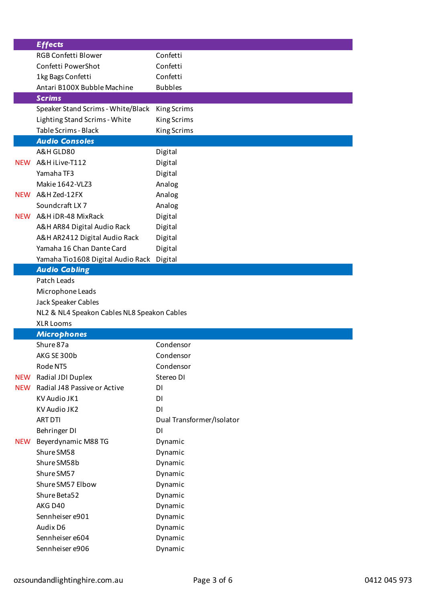|            | <b>Effects</b>                              |                           |
|------------|---------------------------------------------|---------------------------|
|            | RGB Confetti Blower                         | Confetti                  |
|            | Confetti PowerShot                          | Confetti                  |
|            | 1kg Bags Confetti                           | Confetti                  |
|            | Antari B100X Bubble Machine                 | <b>Bubbles</b>            |
|            | <b>Scrims</b>                               |                           |
|            | Speaker Stand Scrims - White/Black          | <b>King Scrims</b>        |
|            | Lighting Stand Scrims - White               | King Scrims               |
|            | Table Scrims - Black                        | King Scrims               |
|            | <b>Audio Consoles</b>                       |                           |
|            | A&H GLD80                                   | Digital                   |
| <b>NEW</b> | A&H iLive-T112                              | Digital                   |
|            | Yamaha TF3                                  | Digital                   |
|            | Makie 1642-VLZ3                             | Analog                    |
| <b>NEW</b> | A&H Zed-12FX                                | Analog                    |
|            | Soundcraft LX7                              | Analog                    |
| <b>NEW</b> | A&H iDR-48 MixRack                          | Digital                   |
|            | A&H AR84 Digital Audio Rack                 | Digital                   |
|            | A&H AR2412 Digital Audio Rack               | Digital                   |
|            | Yamaha 16 Chan Dante Card                   | Digital                   |
|            | Yamaha Tio1608 Digital Audio Rack           | Digital                   |
|            | <b>Audio Cabling</b>                        |                           |
|            | Patch Leads                                 |                           |
|            | Microphone Leads                            |                           |
|            | Jack Speaker Cables                         |                           |
|            | NL2 & NL4 Speakon Cables NL8 Speakon Cables |                           |
|            | <b>XLR Looms</b>                            |                           |
|            | <b>Microphones</b>                          |                           |
|            | Shure 87a                                   | Condensor                 |
|            | AKG SE 300b                                 | Condensor                 |
|            | Rode NT5                                    | Condensor                 |
| <b>NEW</b> | Radial JDI Duplex                           | Stereo DI                 |
| <b>NEW</b> | Radial J48 Passive or Active                | DI                        |
|            | KV Audio JK1                                | DI                        |
|            | KV Audio JK2                                | DI                        |
|            | <b>ART DTI</b>                              | Dual Transformer/Isolator |
|            | Behringer DI                                | DI                        |
| <b>NEW</b> | Beyerdynamic M88 TG                         | Dynamic                   |
|            | Shure SM58                                  | Dynamic                   |
|            | Shure SM58b                                 | Dynamic                   |
|            | Shure SM57                                  | Dynamic                   |
|            | Shure SM57 Elbow                            | Dynamic                   |
|            | Shure Beta52                                | Dynamic                   |
|            | AKG D40                                     | Dynamic                   |
|            | Sennheiser e901                             | Dynamic                   |
|            | Audix D6                                    | Dynamic                   |
|            | Sennheiser e604                             | Dynamic                   |
|            | Sennheiser e906                             | Dynamic                   |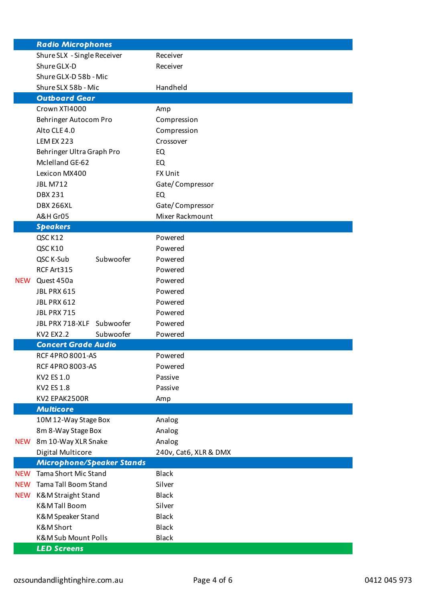|            | <b>Radio Microphones</b>         |                       |
|------------|----------------------------------|-----------------------|
|            | Shure SLX - Single Receiver      | Receiver              |
|            | Shure GLX-D                      | Receiver              |
|            | Shure GLX-D 58b - Mic            |                       |
|            | Shure SLX 58b - Mic              | Handheld              |
|            | <b>Outboard Gear</b>             |                       |
|            | Crown XTI4000                    | Amp                   |
|            | Behringer Autocom Pro            | Compression           |
|            | Alto CLE 4.0                     | Compression           |
|            | <b>LEM EX 223</b>                | Crossover             |
|            | Behringer Ultra Graph Pro        | EQ                    |
|            | Mclelland GE-62                  | EQ                    |
|            | Lexicon MX400                    | FX Unit               |
|            | <b>JBL M712</b>                  | Gate/Compressor       |
|            | <b>DBX 231</b>                   | EQ                    |
|            | <b>DBX 266XL</b>                 | Gate/Compressor       |
|            | A&H Gr05                         | Mixer Rackmount       |
|            | <b>Speakers</b>                  |                       |
|            | QSC K12                          | Powered               |
|            | QSC K10                          | Powered               |
|            | QSC K-Sub<br>Subwoofer           | Powered               |
|            | RCF Art315                       | Powered               |
| <b>NEW</b> | Quest 450a                       | Powered               |
|            | <b>JBL PRX 615</b>               | Powered               |
|            | <b>JBL PRX 612</b>               | Powered               |
|            | JBL PRX 715                      | Powered               |
|            | JBL PRX 718-XLF<br>Subwoofer     | Powered               |
|            | <b>KV2 EX2.2</b><br>Subwoofer    | Powered               |
|            | <b>Concert Grade Audio</b>       |                       |
|            | <b>RCF 4PRO 8001-AS</b>          | Powered               |
|            | <b>RCF 4PRO 8003-AS</b>          | Powered               |
|            | KV2 ES 1.0                       | Passive               |
|            | KV2 ES 1.8                       | Passive               |
|            | KV2 EPAK2500R                    | Amp                   |
|            | <b>Multicore</b>                 |                       |
|            | 10M 12-Way Stage Box             | Analog                |
|            | 8m 8-Way Stage Box               | Analog                |
| <b>NEW</b> | 8m 10-Way XLR Snake              | Analog                |
|            | Digital Multicore                | 240v, Cat6, XLR & DMX |
|            | <b>Microphone/Speaker Stands</b> |                       |
| <b>NEW</b> | <b>Tama Short Mic Stand</b>      | <b>Black</b>          |
| <b>NEW</b> | <b>Tama Tall Boom Stand</b>      | Silver                |
| <b>NEW</b> | K&M Straight Stand               | <b>Black</b>          |
|            | <b>K&amp;MTall Boom</b>          | Silver                |
|            | K&M Speaker Stand                | <b>Black</b>          |
|            | K&M Short                        | <b>Black</b>          |
|            | <b>K&amp;M Sub Mount Polls</b>   | <b>Black</b>          |
|            | <b>LED Screens</b>               |                       |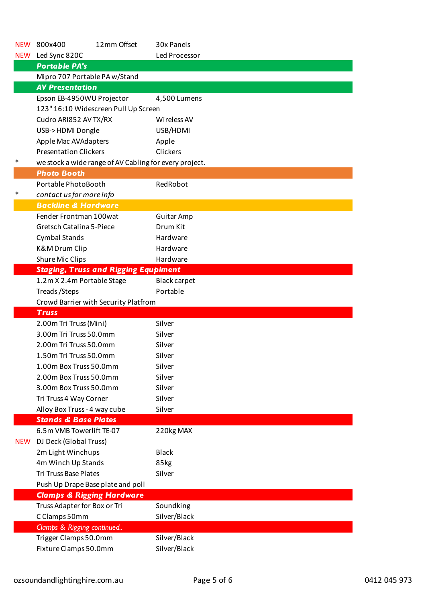| <b>NEW</b> | 12mm Offset<br>800x400                                 | 30x Panels          |
|------------|--------------------------------------------------------|---------------------|
| <b>NEW</b> | Led Sync 820C                                          | Led Processor       |
|            | <b>Portable PA's</b>                                   |                     |
|            | Mipro 707 Portable PA w/Stand                          |                     |
|            | <b>AV Presentation</b>                                 |                     |
|            | Epson EB-4950WU Projector                              | 4,500 Lumens        |
|            | 123" 16:10 Widescreen Pull Up Screen                   |                     |
|            | Cudro ARI852 AV TX/RX                                  | Wireless AV         |
|            | USB->HDMI Dongle                                       | USB/HDMI            |
|            | Apple Mac AVAdapters                                   | Apple               |
|            | <b>Presentation Clickers</b>                           | Clickers            |
| ∗          | we stock a wide range of AV Cabling for every project. |                     |
|            | <b>Photo Booth</b>                                     |                     |
|            | Portable PhotoBooth                                    | RedRobot            |
| ∗          | contact us for more info                               |                     |
|            | <b>Backline &amp; Hardware</b>                         |                     |
|            | Fender Frontman 100wat                                 | <b>Guitar Amp</b>   |
|            | Gretsch Catalina 5-Piece                               | Drum Kit            |
|            |                                                        | Hardware            |
|            | <b>Cymbal Stands</b>                                   |                     |
|            | K&M Drum Clip                                          | Hardware            |
|            | Shure Mic Clips                                        | Hardware            |
|            | <b>Staging, Truss and Rigging Equpiment</b>            |                     |
|            | 1.2m X 2.4m Portable Stage                             | <b>Black carpet</b> |
|            | Treads/Steps                                           | Portable            |
|            | Crowd Barrier with Security Platfrom                   |                     |
|            | <b>Truss</b>                                           |                     |
|            | 2.00m Tri Truss (Mini)                                 | Silver              |
|            | 3.00m Tri Truss 50.0mm                                 | Silver              |
|            | 2.00m Tri Truss 50.0mm                                 | Silver              |
|            | 1.50m Tri Truss 50.0mm                                 | Silver              |
|            | 1.00m Box Truss 50.0mm                                 | Silver              |
|            | 2.00m Box Truss 50.0mm                                 | Silver              |
|            | 3.00m Box Truss 50.0mm                                 | Silver              |
|            | Tri Truss 4 Way Corner                                 | Silver              |
|            | Alloy Box Truss - 4 way cube                           | Silver              |
|            | <b>Stands &amp; Base Plates</b>                        |                     |
|            | 6.5m VMB Towerlift TE-07                               | 220kg MAX           |
| <b>NEW</b> | DJ Deck (Global Truss)                                 |                     |
|            | 2m Light Winchups                                      | <b>Black</b>        |
|            | 4m Winch Up Stands                                     | 85kg                |
|            | <b>Tri Truss Base Plates</b>                           | Silver              |
|            | Push Up Drape Base plate and poll                      |                     |
|            | <b>Clamps &amp; Rigging Hardware</b>                   |                     |
|            | Truss Adapter for Box or Tri                           | Soundking           |
|            | C Clamps 50mm                                          | Silver/Black        |
|            | Clamps & Rigging continued                             |                     |
|            |                                                        |                     |
|            | Trigger Clamps 50.0mm                                  | Silver/Black        |